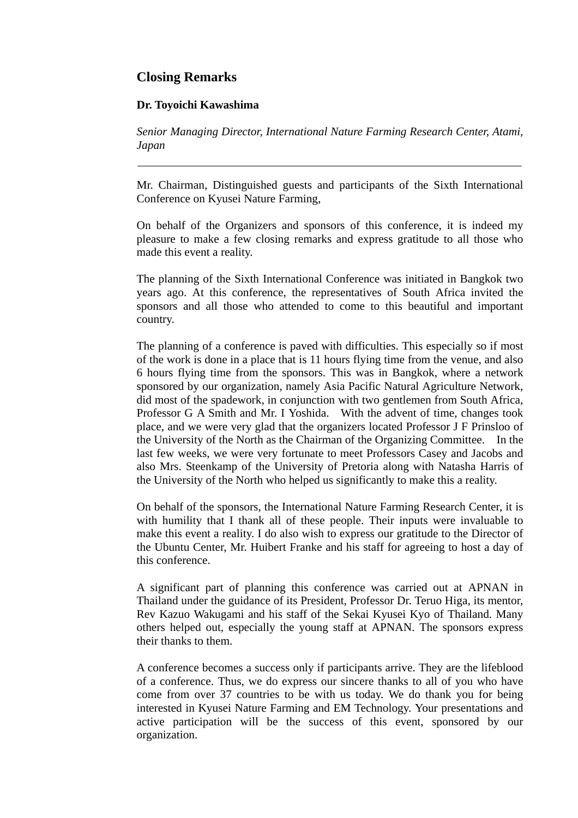## **Closing Remarks**

## **Dr. Toyoichi Kawashima**

*Senior Managing Director, International Nature Farming Research Center, Atami, Japan* 

Mr. Chairman, Distinguished guests and participants of the Sixth International Conference on Kyusei Nature Farming,

On behalf of the Organizers and sponsors of this conference, it is indeed my pleasure to make a few closing remarks and express gratitude to all those who made this event a reality.

The planning of the Sixth International Conference was initiated in Bangkok two years ago. At this conference, the representatives of South Africa invited the sponsors and all those who attended to come to this beautiful and important country.

The planning of a conference is paved with difficulties. This especially so if most of the work is done in a place that is 11 hours flying time from the venue, and also 6 hours flying time from the sponsors. This was in Bangkok, where a network sponsored by our organization, namely Asia Pacific Natural Agriculture Network, did most of the spadework, in conjunction with two gentlemen from South Africa, Professor G A Smith and Mr. I Yoshida. With the advent of time, changes took place, and we were very glad that the organizers located Professor J F Prinsloo of the University of the North as the Chairman of the Organizing Committee. In the last few weeks, we were very fortunate to meet Professors Casey and Jacobs and also Mrs. Steenkamp of the University of Pretoria along with Natasha Harris of the University of the North who helped us significantly to make this a reality.

On behalf of the sponsors, the International Nature Farming Research Center, it is with humility that I thank all of these people. Their inputs were invaluable to make this event a reality. I do also wish to express our gratitude to the Director of the Ubuntu Center, Mr. Huibert Franke and his staff for agreeing to host a day of this conference.

A significant part of planning this conference was carried out at APNAN in Thailand under the guidance of its President, Professor Dr. Teruo Higa, its mentor, Rev Kazuo Wakugami and his staff of the Sekai Kyusei Kyo of Thailand. Many others helped out, especially the young staff at APNAN. The sponsors express their thanks to them.

A conference becomes a success only if participants arrive. They are the lifeblood of a conference. Thus, we do express our sincere thanks to all of you who have come from over 37 countries to be with us today. We do thank you for being interested in Kyusei Nature Farming and EM Technology. Your presentations and active participation will be the success of this event, sponsored by our organization.